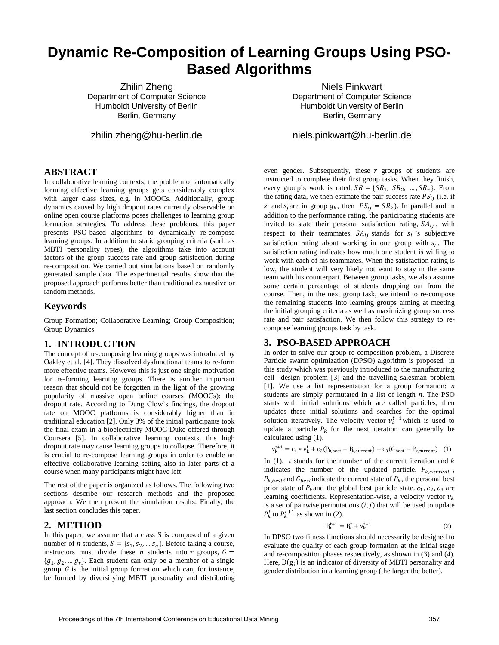# **Dynamic Re-Composition of Learning Groups Using PSO-Based Algorithms**

Zhilin Zheng Department of Computer Science Humboldt University of Berlin Berlin, Germany

zhilin.zheng@hu-berlin.de

**ABSTRACT**

In collaborative learning contexts, the problem of automatically forming effective learning groups gets considerably complex with larger class sizes, e.g. in MOOCs. Additionally, group dynamics caused by high dropout rates currently observable on online open course platforms poses challenges to learning group formation strategies. To address these problems, this paper presents PSO-based algorithms to dynamically re-compose learning groups. In addition to static grouping criteria (such as MBTI personality types), the algorithms take into account factors of the group success rate and group satisfaction during re-composition. We carried out simulations based on randomly generated sample data. The experimental results show that the proposed approach performs better than traditional exhaustive or random methods.

# **Keywords**

Group Formation; Collaborative Learning; Group Composition; Group Dynamics

## **1. INTRODUCTION**

The concept of re-composing learning groups was introduced by Oakley et al. [4]. They dissolved dysfunctional teams to re-form more effective teams. However this is just one single motivation for re-forming learning groups. There is another important reason that should not be forgotten in the light of the growing popularity of massive open online courses (MOOCs): the dropout rate. According to Dung Clow's findings, the dropout rate on MOOC platforms is considerably higher than in traditional education [2]. Only 3% of the initial participants took the final exam in a bioelectricity MOOC Duke offered through Coursera [5]. In collaborative learning contexts, this high dropout rate may cause learning groups to collapse. Therefore, it is crucial to re-compose learning groups in order to enable an effective collaborative learning setting also in later parts of a course when many participants might have left.

The rest of the paper is organized as follows. The following two sections describe our research methods and the proposed approach. We then present the simulation results. Finally, the last section concludes this paper.

## **2. METHOD**

In this paper, we assume that a class S is composed of a given number of *n* students,  $S = \{s_1, s_2, ..., s_n\}$ . Before taking a course, instructors must divide these *n* students into *r* groups,  $G =$  ${g_1, g_2, ..., g_r}$ . Each student can only be a member of a single group.  $G$  is the initial group formation which can, for instance, be formed by diversifying MBTI personality and distributing

Niels Pinkwart Department of Computer Science Humboldt University of Berlin Berlin, Germany

niels.pinkwart@hu-berlin.de

even gender. Subsequently, these  $r$  groups of students are instructed to complete their first group tasks. When they finish, every group's work is rated,  $SR = \{SR_1, SR_2, ..., SR_r\}$ . From the rating data, we then estimate the pair success rate  $PS_{ij}$  (i.e. if  $s_i$  and  $s_i$  are in group  $g_k$ , then  $PS_{ij} = SR_k$ ). In parallel and in addition to the performance rating, the participating students are invited to state their personal satisfaction rating,  $SA_{ij}$ , with respect to their teammates.  $SA_{ij}$  stands for  $s_i$  's subjective satisfaction rating about working in one group with  $s_i$ . The satisfaction rating indicates how much one student is willing to work with each of his teammates. When the satisfaction rating is low, the student will very likely not want to stay in the same team with his counterpart. Between group tasks, we also assume some certain percentage of students dropping out from the course. Then, in the next group task, we intend to re-compose the remaining students into learning groups aiming at meeting the initial grouping criteria as well as maximizing group success rate and pair satisfaction. We then follow this strategy to recompose learning groups task by task.

# **3. PSO-BASED APPROACH**

In order to solve our group re-composition problem, a Discrete Particle swarm optimization (DPSO) algorithm is proposed in this study which was previously introduced to the manufacturing cell design problem [3] and the travelling salesman problem [1]. We use a list representation for a group formation: *n* students are simply permutated in a list of length *n*. The PSO starts with initial solutions which are called particles, then updates these initial solutions and searches for the optimal solution iteratively. The velocity vector  $v_k^{t+1}$  which is used to update a particle  $P_k$  for the next iteration can generally be calculated using (1).

$$
v_{k}^{t+1} = c_1 * v_{k}^{t} + c_2 (P_{k, best} - P_{k, current}) + c_3 (G_{best} - P_{k, current}) \quad (1)
$$

In  $(1)$ , t stands for the number of the current iteration and k indicates the number of the updated particle.  $P_{k, current}$ ,  $P_{k, best}$  and  $G_{best}$  indicate the current state of  $P_k$ , the personal best prior state of  $P_k$  and the global best particle state.  $c_1$ ,  $c_2$ ,  $c_3$  are learning coefficients. Representation-wise, a velocity vector  $v_k$ is a set of pairwise permutations  $(i, j)$  that will be used to update  $P_k^t$  to  $P_k^{t+1}$  as shown in (2).

$$
P_k^{t+1} = P_k^t + v_k^{t+1}
$$
 (2)

In DPSO two fitness functions should necessarily be designed to evaluate the quality of each group formation at the initial stage and re-composition phases respectively, as shown in (3) and (4). Here,  $D(g_i)$  is an indicator of diversity of MBTI personality and gender distribution in a learning group (the larger the better).